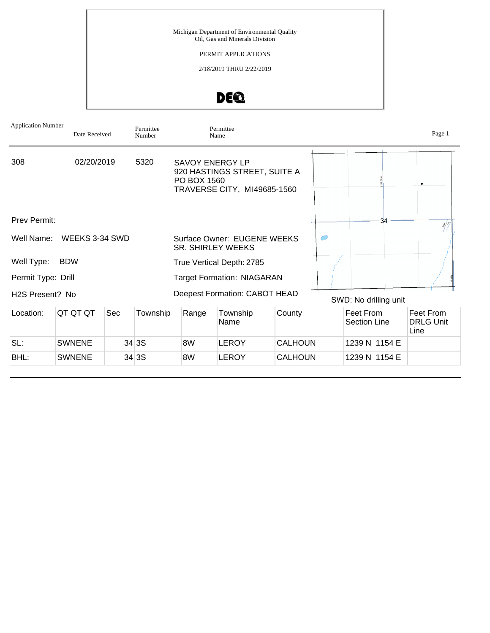Michigan Department of Environmental Quality Oil, Gas and Minerals Division PERMIT APPLICATIONS 2/18/2019 THRU 2/22/2019



| <b>Application Number</b>    | Date Received  |     | Permittee<br>Number |                                       | Permittee<br>Name                                           |                |                           | Page 1                                |
|------------------------------|----------------|-----|---------------------|---------------------------------------|-------------------------------------------------------------|----------------|---------------------------|---------------------------------------|
| 308                          | 02/20/2019     |     | 5320                | <b>SAVOY ENERGY LP</b><br>PO BOX 1560 | 920 HASTINGS STREET, SUITE A<br>TRAVERSE CITY, MI49685-1560 |                |                           |                                       |
| Prev Permit:                 |                |     |                     |                                       |                                                             |                | 34                        | $\sqrt[3]{\frac{1}{2}}$               |
| Well Name:                   | WEEKS 3-34 SWD |     |                     |                                       | Surface Owner: EUGENE WEEKS<br><b>SR. SHIRLEY WEEKS</b>     |                |                           |                                       |
| Well Type:                   | <b>BDW</b>     |     |                     |                                       | True Vertical Depth: 2785                                   |                |                           |                                       |
| Permit Type: Drill           |                |     |                     |                                       | <b>Target Formation: NIAGARAN</b>                           |                |                           |                                       |
| H <sub>2</sub> S Present? No |                |     |                     |                                       | Deepest Formation: CABOT HEAD                               |                | SWD: No drilling unit     |                                       |
| Location:                    | QT QT QT       | Sec | Township            | Range                                 | Township<br>Name                                            | County         | Feet From<br>Section Line | Feet From<br><b>DRLG Unit</b><br>Line |
| SL:                          | <b>SWNENE</b>  |     | 34 3S               | 8W                                    | <b>LEROY</b>                                                | <b>CALHOUN</b> | 1239 N 1154 E             |                                       |
| BHL:                         | <b>SWNENE</b>  |     | 34 3S               | 8W                                    | <b>LEROY</b>                                                | <b>CALHOUN</b> | 1239 N 1154 E             |                                       |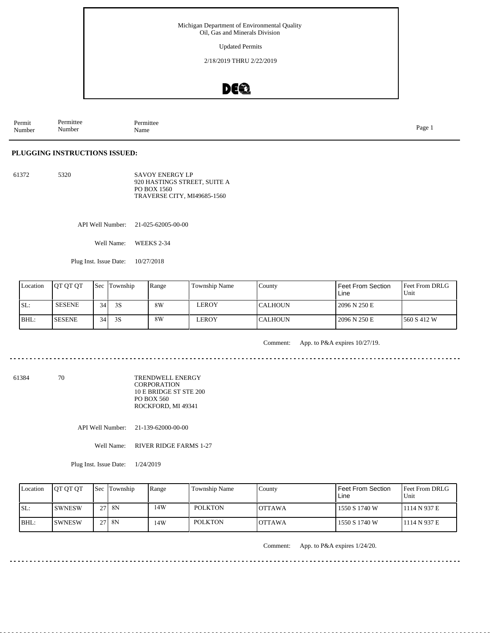Updated Permits

2/18/2019 THRU 2/22/2019

### DEQ

| Permit<br>the contract of the contract of the<br>Number | $\overline{\phantom{a}}$<br>Permittee<br>. .<br>Number | Permittee<br>Name | Page |
|---------------------------------------------------------|--------------------------------------------------------|-------------------|------|
|---------------------------------------------------------|--------------------------------------------------------|-------------------|------|

### **PLUGGING INSTRUCTIONS ISSUED:**

61372 5320 SAVOY ENERGY LP 920 HASTINGS STREET, SUITE A PO BOX 1560 TRAVERSE CITY, MI49685-1560

API Well Number: 21-025-62005-00-00

Well Name: WEEKS 2-34

Plug Inst. Issue Date: 10/27/2018

| Location | <b>IOT OT OT</b> |    | <b>Sec Township</b> | Range | Township Name | County          | Feet From Section<br>Line | <b>IFeet From DRLG</b><br>l Unit |
|----------|------------------|----|---------------------|-------|---------------|-----------------|---------------------------|----------------------------------|
| SL:      | <b>SESENE</b>    | 34 | 3S                  | 8W    | LEROY         | <b>ICALHOUN</b> | 2096 N 250 E              |                                  |
| BHL:     | <b>ISESENE</b>   | 34 | 3S                  | 8W    | LEROY         | <b>CALHOUN</b>  | 2096 N 250 E              | 1560 S 412 W                     |

Comment: App. to P&A expires 10/27/19.

61384 70

TRENDWELL ENERGY **CORPORATION** 10 E BRIDGE ST STE 200 PO BOX 560 ROCKFORD, MI 49341

API Well Number: 21-139-62000-00-00

Well Name: RIVER RIDGE FARMS 1-27

Plug Inst. Issue Date: 1/24/2019

| Location | <b>IOT OT OT</b> | <b>Sec Township</b> | Range | Township Name  | County        | <b>Feet From Section</b><br>Line | <b>Feet From DRLG</b><br>Unit |
|----------|------------------|---------------------|-------|----------------|---------------|----------------------------------|-------------------------------|
| ISL:     | <b>ISWNESW</b>   | $27$ 8N             | 14W   | <b>POLKTON</b> | IOTTAWA       | 1550 S 1740 W                    | 11114 N 937 E                 |
| BHL:     | <b>ISWNESW</b>   | $27$ 8N             | 14W   | <b>POLKTON</b> | <b>OTTAWA</b> | 1550 S 1740 W                    | 1114 N 937 E                  |

Comment: App. to P&A expires 1/24/20.

<u>. . . . . . . . . . . . .</u>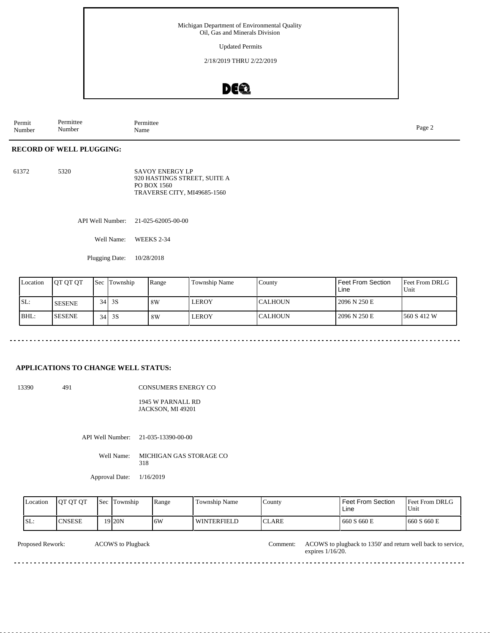Updated Permits

2/18/2019 THRU 2/22/2019

### DEQ

Permit Number Permittee Number Permittee<br>Name Page 2<br>Name

### **RECORD OF WELL PLUGGING:**

61372 5320 SAVOY ENERGY LP 920 HASTINGS STREET, SUITE A PO BOX 1560 TRAVERSE CITY, MI49685-1560

API Well Number: 21-025-62005-00-00

Well Name: WEEKS 2-34

Plugging Date: 10/28/2018

| Location | <b>JOT OT OT</b> | <b>Sec Township</b> | Range | <b>Township Name</b> | County          | Feet From Section<br>Line | Feet From DRLG<br>Unit |
|----------|------------------|---------------------|-------|----------------------|-----------------|---------------------------|------------------------|
| SL:      | <b>SESENE</b>    | $34$ 3S             | 8W    | LEROY                | <b>ICALHOUN</b> | 2096 N 250 E              |                        |
| BHL:     | <b>ISESENE</b>   | $34$ 3S             | 8W    | LEROY                | <b>CALHOUN</b>  | 2096 N 250 E              | 1560 S 412 W           |

### **APPLICATIONS TO CHANGE WELL STATUS:**

13390 491

CONSUMERS ENERGY CO

1945 W PARNALL RD JACKSON, MI 49201

API Well Number: 21-035-13390-00-00

Well Name: MICHIGAN GAS STORAGE CO 318

Approval Date: 1/16/2019

| 19 <sub>20</sub> N<br>SL:<br>CNSESE<br>16W<br>1660 S 660 E<br><b>ICLARE</b><br>660 S 660 E<br><b>WINTERFIELD</b> | Location | <b>OT OT OT</b> | Sec | Township | Range | Township Name | County | Feet From Section<br>Line | <b>Feet From DRLG</b><br>Unit |
|------------------------------------------------------------------------------------------------------------------|----------|-----------------|-----|----------|-------|---------------|--------|---------------------------|-------------------------------|
|                                                                                                                  |          |                 |     |          |       |               |        |                           |                               |

| Proposed<br>Rework. | $\cdot$ ) $W^-$<br>Plugback<br>ouv n | :omment | OWS.<br>. 1350' and return well back<br>AC.<br>s to plugback to .<br>service |
|---------------------|--------------------------------------|---------|------------------------------------------------------------------------------|
|                     |                                      |         | /16/20<br>expires                                                            |
| _________           |                                      |         |                                                                              |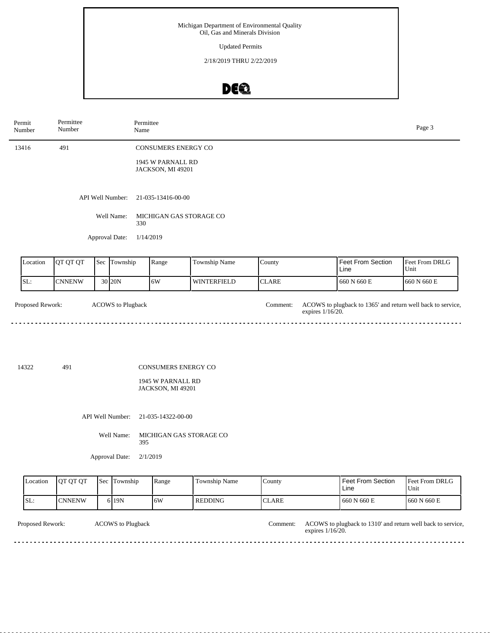Updated Permits

2/18/2019 THRU 2/22/2019

## DE®

| Permit<br>Number | Permittee<br>Number |     | Permittee<br>Name        |                                                               |                    |              |                                                                                 | Page 3                 |
|------------------|---------------------|-----|--------------------------|---------------------------------------------------------------|--------------------|--------------|---------------------------------------------------------------------------------|------------------------|
| 13416            | 491                 |     |                          | <b>CONSUMERS ENERGY CO</b>                                    |                    |              |                                                                                 |                        |
|                  |                     |     |                          | 1945 W PARNALL RD<br>JACKSON, MI 49201                        |                    |              |                                                                                 |                        |
|                  |                     |     | API Well Number:         | 21-035-13416-00-00                                            |                    |              |                                                                                 |                        |
|                  |                     |     | Well Name:<br>330        | MICHIGAN GAS STORAGE CO                                       |                    |              |                                                                                 |                        |
|                  |                     |     | Approval Date:           | 1/14/2019                                                     |                    |              |                                                                                 |                        |
| Location         | QT QT QT            |     | Sec Township             | Range                                                         | Township Name      | County       | Feet From Section<br>Line                                                       | Feet From DRLG<br>Unit |
| SL:              | <b>CNNENW</b>       |     | 30 20N                   | 6W                                                            | <b>WINTERFIELD</b> | <b>CLARE</b> | 660 N 660 E                                                                     | 660 N 660 E            |
| Proposed Rework: |                     |     | <b>ACOWS</b> to Plugback |                                                               |                    | Comment:     | ACOWS to plugback to 1365' and return well back to service,<br>expires 1/16/20. |                        |
| 14322            | 491                 |     |                          | CONSUMERS ENERGY CO<br>1945 W PARNALL RD<br>JACKSON, MI 49201 |                    |              |                                                                                 |                        |
|                  |                     |     | API Well Number:         | 21-035-14322-00-00                                            |                    |              |                                                                                 |                        |
|                  |                     |     | Well Name:<br>395        | MICHIGAN GAS STORAGE CO                                       |                    |              |                                                                                 |                        |
|                  |                     |     | Approval Date:           | 2/1/2019                                                      |                    |              |                                                                                 |                        |
| Location         | QT QT QT            | Sec | Township                 | Range                                                         | Township Name      | County       | <b>Feet From Section</b><br>Line                                                | Feet From DRLG<br>Unit |
| SL:              | <b>CNNENW</b>       |     | 6 19N                    | 6W                                                            | <b>REDDING</b>     | <b>CLARE</b> | 660 N 660 E                                                                     | 660 N 660 E            |

ACOWS to Plugback Comment: Proposed Rework: ACOWS to plugback to 1310' and return well back to service, expires 1/16/20. <u>. . . . . . . . . . .</u> <u>. . . . . . . . . . . . .</u>  $\sim$   $\sim$   $\sim$ <u>. . . . . . . . . . . . . . . . . .</u>  $\sim$   $\sim$   $\sim$   $\sim$   $\sim$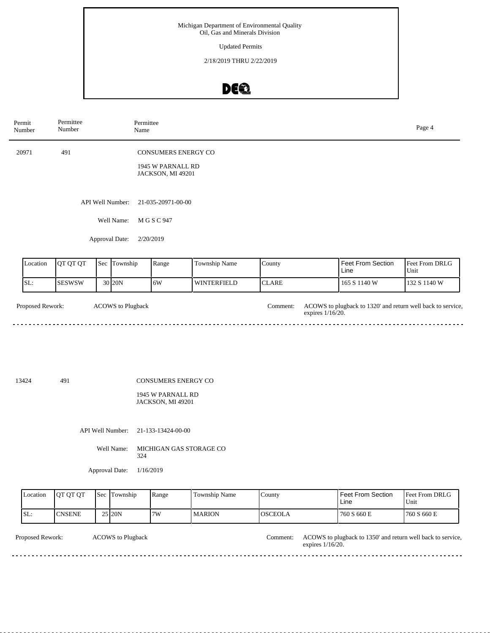Updated Permits

2/18/2019 THRU 2/22/2019

# DE®

| Permit<br>Number | Permittee<br>Number |                          | Permittee<br>Name                      |                    |                              |                                                             | Page 4                 |
|------------------|---------------------|--------------------------|----------------------------------------|--------------------|------------------------------|-------------------------------------------------------------|------------------------|
| 20971            | 491                 |                          | <b>CONSUMERS ENERGY CO</b>             |                    |                              |                                                             |                        |
|                  |                     |                          | 1945 W PARNALL RD<br>JACKSON, MI 49201 |                    |                              |                                                             |                        |
|                  |                     | API Well Number:         | 21-035-20971-00-00                     |                    |                              |                                                             |                        |
|                  |                     | Well Name:               | M G S C 947                            |                    |                              |                                                             |                        |
|                  |                     | Approval Date:           | 2/20/2019                              |                    |                              |                                                             |                        |
| Location         | QT QT QT            | Sec Township             | Range                                  | Township Name      | County                       | Feet From Section<br>Line                                   | Feet From DRLG<br>Unit |
| SL:              | <b>SESWSW</b>       | 30 20N                   | 6W                                     | <b>WINTERFIELD</b> | <b>CLARE</b>                 | 165 S 1140 W                                                | 132 S 1140 W           |
| Proposed Rework: |                     | <b>ACOWS</b> to Plugback |                                        |                    | Comment:<br>expires 1/16/20. | ACOWS to plugback to 1320' and return well back to service, |                        |
| 13424            | 491                 |                          | CONSUMERS ENERGY CO                    |                    |                              |                                                             |                        |
|                  |                     |                          | 1945 W PARNALL RD<br>JACKSON, MI 49201 |                    |                              |                                                             |                        |
|                  |                     | API Well Number:         | 21-133-13424-00-00                     |                    |                              |                                                             |                        |
|                  |                     | Well Name:               | MICHIGAN GAS STORAGE CO<br>324         |                    |                              |                                                             |                        |
|                  |                     | Approval Date:           | 1/16/2019                              |                    |                              |                                                             |                        |

| Location                | <b>OT OT OT</b> | Sec Township             | Range | Township Name | <b>County</b>  |                     | Feet From Section<br>l Line                                 | Feet From DRLG<br>Unit |
|-------------------------|-----------------|--------------------------|-------|---------------|----------------|---------------------|-------------------------------------------------------------|------------------------|
| SL:                     | <b>ICNSENE</b>  | 25 20N                   | l7W   | <b>MARION</b> | <b>OSCEOLA</b> |                     | 760 S 660 E                                                 | 1760 S 660 E           |
| <b>Proposed Rework:</b> |                 | <b>ACOWS</b> to Plugback |       |               | Comment:       | expires $1/16/20$ . | ACOWS to plugback to 1350' and return well back to service, |                        |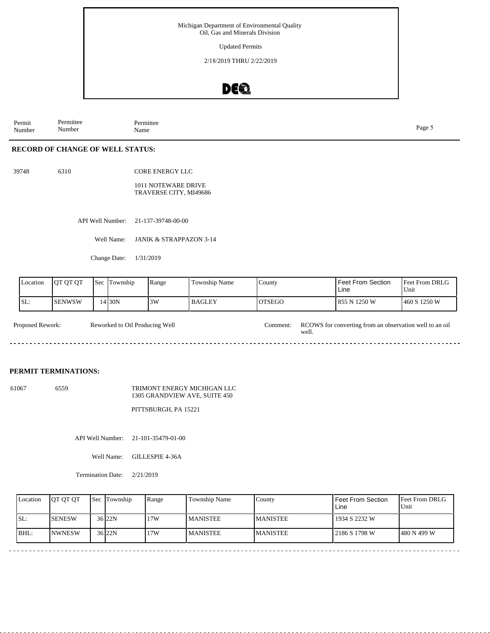Updated Permits

2/18/2019 THRU 2/22/2019

### DEQ

Permit Number Permittee Number Permittee<br>Name Name Page 5

### **RECORD OF CHANGE OF WELL STATUS:**

39748 6310

CORE ENERGY LLC

1011 NOTEWARE DRIVE TRAVERSE CITY, MI49686

API Well Number: 21-137-39748-00-00

Well Name: JANIK & STRAPPAZON 3-14

Change Date: 1/31/2019

| Location | <b>OT OT OT</b> | <b>Sec</b> | Township | Range | <b>Township Name</b> | County         | Feet From Section<br>Line | Feet From DRLG<br>Unit |
|----------|-----------------|------------|----------|-------|----------------------|----------------|---------------------------|------------------------|
| SL:      | ISENWSW         |            | $14$ 30N | 3W    | <b>BAGLEY</b>        | <b>IOTSEGO</b> | 1855 N 1250 W             | 460 S 1250 W           |

| <b>Proposed Rework:</b> | Reworked to Oil Producing Well | `omment:- | RCOWS for converting from an observation well to an oil<br>weli. |
|-------------------------|--------------------------------|-----------|------------------------------------------------------------------|
|                         |                                |           |                                                                  |

#### **PERMIT TERMINATIONS:**

61067 6559 TRIMONT ENERGY MICHIGAN LLC 1305 GRANDVIEW AVE, SUITE 450

PITTSBURGH, PA 15221

API Well Number: 21-101-35479-01-00

Well Name: GILLESPIE 4-36A

Termination Date: 2/21/2019

| SL:<br><b>SENESW</b><br>36 <sub>22N</sub><br>17W<br>1934 S 2232 W<br><b>MANISTEE</b><br><b>MANISTEE</b><br>36 <sub>22N</sub><br>IBHL:<br>17W<br><b>INWNESW</b><br><b>MANISTEE</b><br><b>MANISTEE</b><br>1480 N 499 W<br>2186 S 1798 W | Location | <b>OT QT QT</b> | <b>Sec Township</b> | Range | Township Name | County | Feet From Section<br>Line | <b>Feet From DRLG</b><br>Unit |
|---------------------------------------------------------------------------------------------------------------------------------------------------------------------------------------------------------------------------------------|----------|-----------------|---------------------|-------|---------------|--------|---------------------------|-------------------------------|
|                                                                                                                                                                                                                                       |          |                 |                     |       |               |        |                           |                               |
|                                                                                                                                                                                                                                       |          |                 |                     |       |               |        |                           |                               |